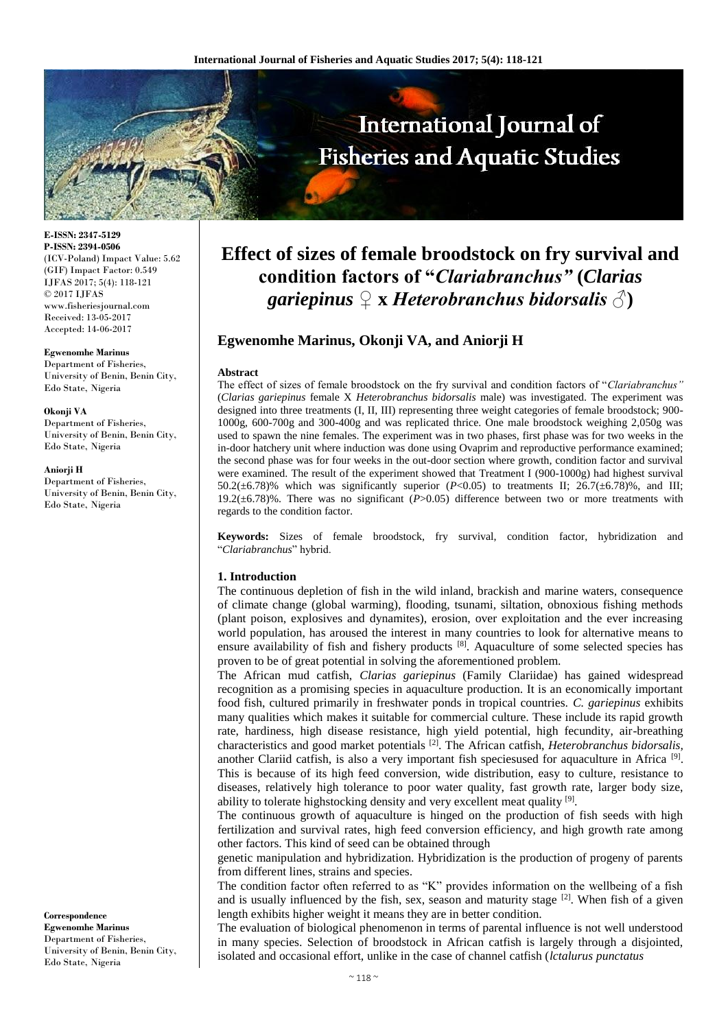

**E-ISSN: 2347-5129 P-ISSN: 2394-0506** (ICV-Poland) Impact Value: 5.62 (GIF) Impact Factor: 0.549 IJFAS 2017; 5(4): 118-121 © 2017 IJFAS www.fisheriesjournal.com Received: 13-05-2017 Accepted: 14-06-2017

#### **Egwenomhe Marinus**

Department of Fisheries, University of Benin, Benin City, Edo State, Nigeria

#### **Okonji VA**

Department of Fisheries, University of Benin, Benin City, Edo State, Nigeria

#### **Aniorji H**

Department of Fisheries, University of Benin, Benin City, Edo State, Nigeria

**Correspondence Egwenomhe Marinus** Department of Fisheries, University of Benin, Benin City, Edo State, Nigeria

# **Effect of sizes of female broodstock on fry survival and condition factors of "***Clariabranchus"* **(***Clarias gariepinus ♀* **x** *Heterobranchus bidorsalis ♂***)**

# **Egwenomhe Marinus, Okonji VA, and Aniorji H**

#### **Abstract**

The effect of sizes of female broodstock on the fry survival and condition factors of "*Clariabranchus"*  (*Clarias gariepinus* female X *Heterobranchus bidorsalis* male) was investigated. The experiment was designed into three treatments (I, II, III) representing three weight categories of female broodstock; 900- 1000g, 600-700g and 300-400g and was replicated thrice. One male broodstock weighing 2,050g was used to spawn the nine females. The experiment was in two phases, first phase was for two weeks in the in-door hatchery unit where induction was done using Ovaprim and reproductive performance examined; the second phase was for four weeks in the out-door section where growth, condition factor and survival were examined. The result of the experiment showed that Treatment I (900-1000g) had highest survival 50.2( $\pm$ 6.78)% which was significantly superior (*P*<0.05) to treatments II; 26.7( $\pm$ 6.78)%, and III; 19.2(±6.78)%. There was no significant (*P*>0.05) difference between two or more treatments with regards to the condition factor.

**Keywords:** Sizes of female broodstock, fry survival, condition factor, hybridization and "*Clariabranchus*" hybrid.

## **1. Introduction**

The continuous depletion of fish in the wild inland, brackish and marine waters, consequence of climate change (global warming), flooding, tsunami, siltation, obnoxious fishing methods (plant poison, explosives and dynamites), erosion, over exploitation and the ever increasing world population, has aroused the interest in many countries to look for alternative means to ensure availability of fish and fishery products [8]. Aquaculture of some selected species has proven to be of great potential in solving the aforementioned problem.

The African mud catfish, *Clarias gariepinus* (Family Clariidae) has gained widespread recognition as a promising species in aquaculture production. It is an economically important food fish, cultured primarily in freshwater ponds in tropical countries. *C. gariepinus* exhibits many qualities which makes it suitable for commercial culture. These include its rapid growth rate, hardiness, high disease resistance, high yield potential, high fecundity, air-breathing characteristics and good market potentials [2]. The African catfish, *Heterobranchus bidorsalis,*  another Clariid catfish, is also a very important fish speciesused for aquaculture in Africa  $[9]$ . This is because of its high feed conversion, wide distribution, easy to culture, resistance to diseases, relatively high tolerance to poor water quality, fast growth rate, larger body size, ability to tolerate highstocking density and very excellent meat quality [9].

The continuous growth of aquaculture is hinged on the production of fish seeds with high fertilization and survival rates, high feed conversion efficiency, and high growth rate among other factors. This kind of seed can be obtained through

genetic manipulation and hybridization. Hybridization is the production of progeny of parents from different lines, strains and species.

The condition factor often referred to as "K" provides information on the wellbeing of a fish and is usually influenced by the fish, sex, season and maturity stage [2]. When fish of a given length exhibits higher weight it means they are in better condition.

The evaluation of biological phenomenon in terms of parental influence is not well understood in many species. Selection of broodstock in African catfish is largely through a disjointed, isolated and occasional effort, unlike in the case of channel catfish (*lctalurus punctatus*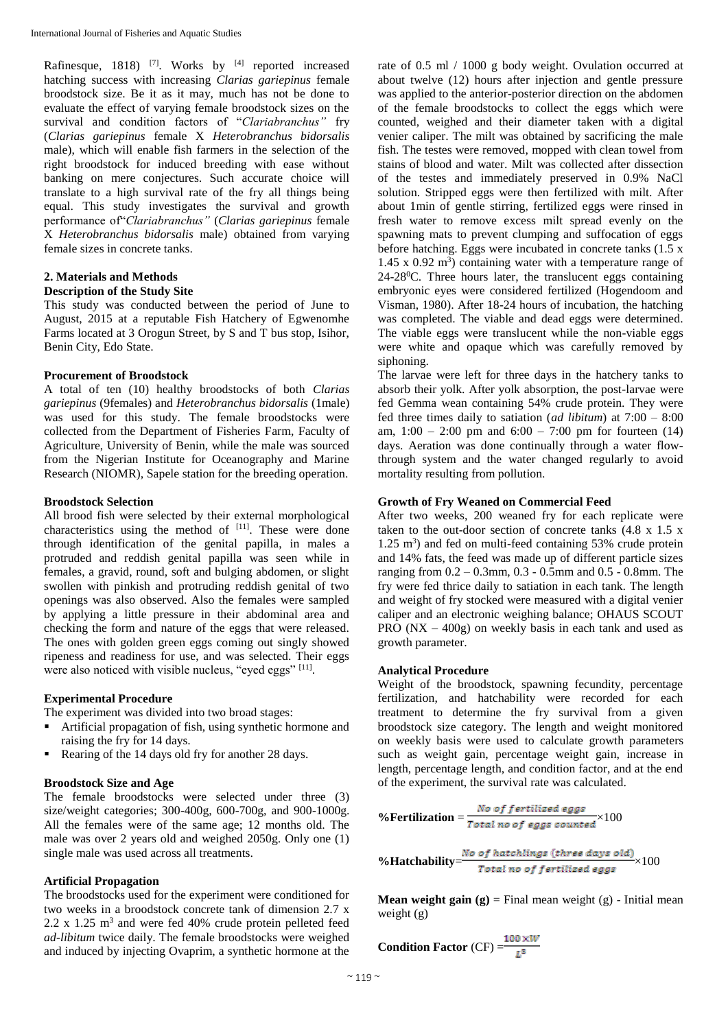Rafinesque, 1818) <sup>[7]</sup>. Works by <sup>[4]</sup> reported increased hatching success with increasing *Clarias gariepinus* female broodstock size. Be it as it may, much has not be done to evaluate the effect of varying female broodstock sizes on the survival and condition factors of "*Clariabranchus"* fry (*Clarias gariepinus* female X *Heterobranchus bidorsalis* male), which will enable fish farmers in the selection of the right broodstock for induced breeding with ease without banking on mere conjectures. Such accurate choice will translate to a high survival rate of the fry all things being equal. This study investigates the survival and growth performance of"*Clariabranchus"* (*Clarias gariepinus* female X *Heterobranchus bidorsalis* male) obtained from varying female sizes in concrete tanks.

#### **2. Materials and Methods Description of the Study Site**

This study was conducted between the period of June to August, 2015 at a reputable Fish Hatchery of Egwenomhe Farms located at 3 Orogun Street, by S and T bus stop, Isihor, Benin City, Edo State.

## **Procurement of Broodstock**

A total of ten (10) healthy broodstocks of both *Clarias gariepinus* (9females) and *Heterobranchus bidorsalis* (1male) was used for this study. The female broodstocks were collected from the Department of Fisheries Farm, Faculty of Agriculture, University of Benin, while the male was sourced from the Nigerian Institute for Oceanography and Marine Research (NIOMR), Sapele station for the breeding operation.

# **Broodstock Selection**

All brood fish were selected by their external morphological characteristics using the method of  $[11]$ . These were done through identification of the genital papilla, in males a protruded and reddish genital papilla was seen while in females, a gravid, round, soft and bulging abdomen, or slight swollen with pinkish and protruding reddish genital of two openings was also observed. Also the females were sampled by applying a little pressure in their abdominal area and checking the form and nature of the eggs that were released. The ones with golden green eggs coming out singly showed ripeness and readiness for use, and was selected. Their eggs were also noticed with visible nucleus, "eyed eggs" [11].

## **Experimental Procedure**

The experiment was divided into two broad stages:

- Artificial propagation of fish, using synthetic hormone and raising the fry for 14 days.
- Rearing of the 14 days old fry for another 28 days.

# **Broodstock Size and Age**

The female broodstocks were selected under three (3) size/weight categories; 300-400g, 600-700g, and 900-1000g. All the females were of the same age; 12 months old. The male was over 2 years old and weighed 2050g. Only one (1) single male was used across all treatments.

# **Artificial Propagation**

The broodstocks used for the experiment were conditioned for two weeks in a broodstock concrete tank of dimension 2.7 x  $2.2 \times 1.25$  m<sup>3</sup> and were fed 40% crude protein pelleted feed *ad-libitum* twice daily. The female broodstocks were weighed and induced by injecting Ovaprim, a synthetic hormone at the

rate of 0.5 ml / 1000 g body weight. Ovulation occurred at about twelve (12) hours after injection and gentle pressure was applied to the anterior-posterior direction on the abdomen of the female broodstocks to collect the eggs which were counted, weighed and their diameter taken with a digital venier caliper. The milt was obtained by sacrificing the male fish. The testes were removed, mopped with clean towel from stains of blood and water. Milt was collected after dissection of the testes and immediately preserved in 0.9% NaCl solution. Stripped eggs were then fertilized with milt. After about 1min of gentle stirring, fertilized eggs were rinsed in fresh water to remove excess milt spread evenly on the spawning mats to prevent clumping and suffocation of eggs before hatching. Eggs were incubated in concrete tanks  $(1.5 x)$  $1.45$  x  $0.92$  m<sup>3</sup>) containing water with a temperature range of  $24-28$ <sup>o</sup>C. Three hours later, the translucent eggs containing embryonic eyes were considered fertilized (Hogendoom and Visman, 1980). After 18-24 hours of incubation, the hatching was completed. The viable and dead eggs were determined. The viable eggs were translucent while the non-viable eggs were white and opaque which was carefully removed by siphoning.

The larvae were left for three days in the hatchery tanks to absorb their yolk. After yolk absorption, the post-larvae were fed Gemma wean containing 54% crude protein. They were fed three times daily to satiation (*ad libitum*) at 7:00 – 8:00 am,  $1:00 - 2:00$  pm and  $6:00 - 7:00$  pm for fourteen (14) days. Aeration was done continually through a water flowthrough system and the water changed regularly to avoid mortality resulting from pollution.

# **Growth of Fry Weaned on Commercial Feed**

After two weeks, 200 weaned fry for each replicate were taken to the out-door section of concrete tanks  $(4.8 \times 1.5 \times$ 1.25 m<sup>3</sup>) and fed on multi-feed containing 53% crude protein and 14% fats, the feed was made up of different particle sizes ranging from 0.2 – 0.3mm, 0.3 - 0.5mm and 0.5 - 0.8mm. The fry were fed thrice daily to satiation in each tank. The length and weight of fry stocked were measured with a digital venier caliper and an electronic weighing balance; OHAUS SCOUT PRO  $(NX - 400g)$  on weekly basis in each tank and used as growth parameter.

## **Analytical Procedure**

Weight of the broodstock, spawning fecundity, percentage fertilization, and hatchability were recorded for each treatment to determine the fry survival from a given broodstock size category. The length and weight monitored on weekly basis were used to calculate growth parameters such as weight gain, percentage weight gain, increase in length, percentage length, and condition factor, and at the end of the experiment, the survival rate was calculated.

%Fertilization = 
$$
\frac{No \text{ of fertilized eggs}}{Total \text{ no of eggs counted}} \times 100
$$

\n%Hatchability = 
$$
\frac{No \text{ of hatching (thres days old)}}{Total \text{ no of fertilized eggs}} \times 100
$$

**Mean weight gain**  $(g)$  **= Final mean weight**  $(g)$  **- Initial mean** weight (g)

Condition Factor (CF) = 
$$
\frac{100 \times W}{L^3}
$$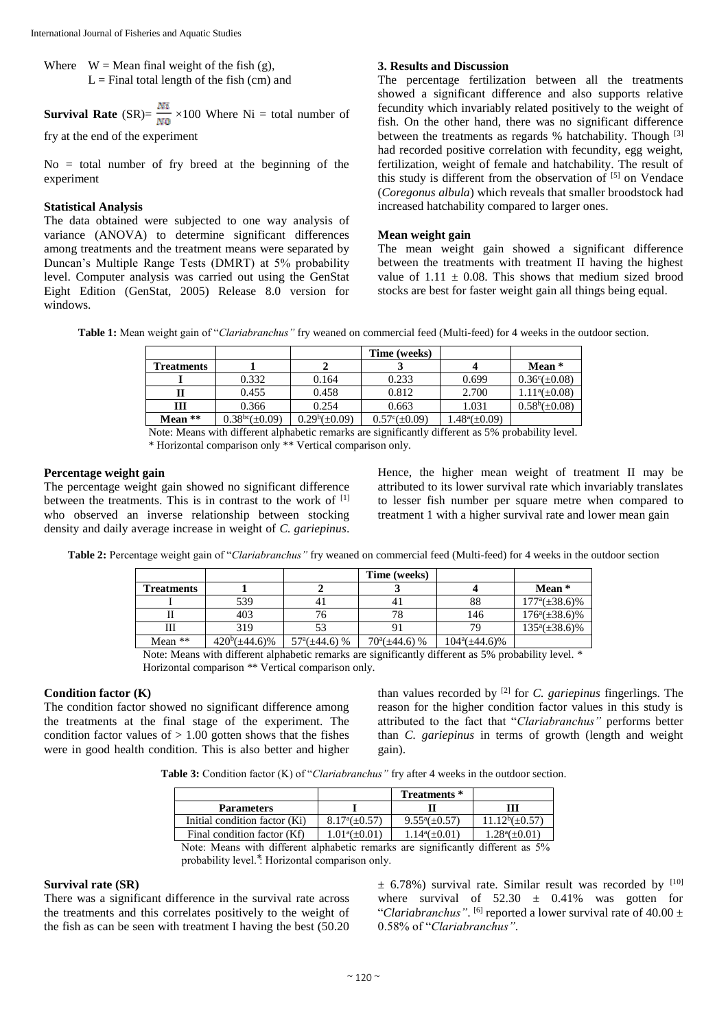Where  $W = \text{Mean final weight of the fish (g)}$ ,  $L =$  Final total length of the fish (cm) and

**Survival Rate** (SR)=  $\frac{Ni}{N0}$  ×100 Where Ni = total number of

fry at the end of the experiment

 $No = total$  number of fry breed at the beginning of the experiment

# **Statistical Analysis**

The data obtained were subjected to one way analysis of variance (ANOVA) to determine significant differences among treatments and the treatment means were separated by Duncan's Multiple Range Tests (DMRT) at 5% probability level. Computer analysis was carried out using the GenStat Eight Edition (GenStat, 2005) Release 8.0 version for windows.

# **3. Results and Discussion**

The percentage fertilization between all the treatments showed a significant difference and also supports relative fecundity which invariably related positively to the weight of fish. On the other hand, there was no significant difference between the treatments as regards % hatchability. Though <sup>[3]</sup> had recorded positive correlation with fecundity, egg weight, fertilization, weight of female and hatchability. The result of this study is different from the observation of  $[5]$  on Vendace (*Coregonus albula*) which reveals that smaller broodstock had increased hatchability compared to larger ones.

# **Mean weight gain**

The mean weight gain showed a significant difference between the treatments with treatment II having the highest value of  $1.11 \pm 0.08$ . This shows that medium sized brood stocks are best for faster weight gain all things being equal.

**Table 1:** Mean weight gain of "*Clariabranchus"* fry weaned on commercial feed (Multi-feed) for 4 weeks in the outdoor section.

|                   |                            |                    | Time (weeks)             |                    |                          |
|-------------------|----------------------------|--------------------|--------------------------|--------------------|--------------------------|
| <b>Treatments</b> |                            |                    |                          |                    | Mean $*$                 |
|                   | 0.332                      | 0.164              | 0.233                    | 0.699              | $0.36^{\circ}(\pm 0.08)$ |
|                   | 0.455                      | 0.458              | 0.812                    | 2.700              | $1.11^a(\pm 0.08)$       |
| Ш                 | 0.366                      | 0.254              | 0.663                    | 1.031              | $0.58^b(\pm 0.08)$       |
| Mean $**$         | 0.38 <sup>bc</sup> (±0.09) | $0.29^b(\pm 0.09)$ | $0.57^{\circ}(\pm 0.09)$ | $1.48^a(\pm 0.09)$ |                          |

Note: Means with different alphabetic remarks are significantly different as 5% probability level.

\* Horizontal comparison only \*\* Vertical comparison only.

## **Percentage weight gain**

The percentage weight gain showed no significant difference between the treatments. This is in contrast to the work of [1] who observed an inverse relationship between stocking density and daily average increase in weight of *C. gariepinus*.

Hence, the higher mean weight of treatment II may be attributed to its lower survival rate which invariably translates to lesser fish number per square metre when compared to treatment 1 with a higher survival rate and lower mean gain

**Table 2:** Percentage weight gain of "*Clariabranchus"* fry weaned on commercial feed (Multi-feed) for 4 weeks in the outdoor section

|                   |                     |                          | Time (weeks)             |                     |                           |
|-------------------|---------------------|--------------------------|--------------------------|---------------------|---------------------------|
| <b>Treatments</b> |                     |                          |                          |                     | Mean *                    |
|                   | 539                 | 4.                       |                          | 88                  | $177^{\rm a}(\pm 38.6)\%$ |
|                   | 403                 |                          |                          | 146                 | $176^a(\pm 38.6)\%$       |
| Ш                 | 319                 |                          |                          |                     | $135^a(\pm 38.6)\%$       |
| Mean $**$         | $420^b(\pm 44.6)\%$ | $57^{\rm a}(\pm 44.6)$ % | $70^{\circ}(\pm 44.6)$ % | $104^a(\pm 44.6)\%$ |                           |

Note: Means with different alphabetic remarks are significantly different as 5% probability level. \* Horizontal comparison \*\* Vertical comparison only.

# **Condition factor (K)**

The condition factor showed no significant difference among the treatments at the final stage of the experiment. The condition factor values of  $> 1.00$  gotten shows that the fishes were in good health condition. This is also better and higher

than values recorded by [2] for *C. gariepinus* fingerlings. The reason for the higher condition factor values in this study is attributed to the fact that "*Clariabranchus"* performs better than *C. gariepinus* in terms of growth (length and weight gain).

**Table 3:** Condition factor (K) of "*Clariabranchus"* fry after 4 weeks in the outdoor section.

|                               |                          | Treatments *       |                     |
|-------------------------------|--------------------------|--------------------|---------------------|
| <b>Parameters</b>             |                          |                    | Ш                   |
| Initial condition factor (Ki) | $8.17^{\circ}(\pm 0.57)$ | $9.55^a(\pm 0.57)$ | $11.12^b(\pm 0.57)$ |
| Final condition factor (Kf)   | $1.01^{\circ}(\pm 0.01)$ | $1.14^a(\pm 0.01)$ | $1.28^a(\pm 0.01)$  |

Note: Means with different alphabetic remarks are significantly different as 5% probability level.<sup>\*</sup>: Horizontal comparison only.

## **Survival rate (SR)**

There was a significant difference in the survival rate across the treatments and this correlates positively to the weight of the fish as can be seen with treatment I having the best (50.20

 $\pm$  6.78%) survival rate. Similar result was recorded by [10] where survival of  $52.30 \pm 0.41\%$  was gotten for "Clariabranchus".  $[6]$  reported a lower survival rate of  $40.00 \pm$ 0.58% of "*Clariabranchus"*.